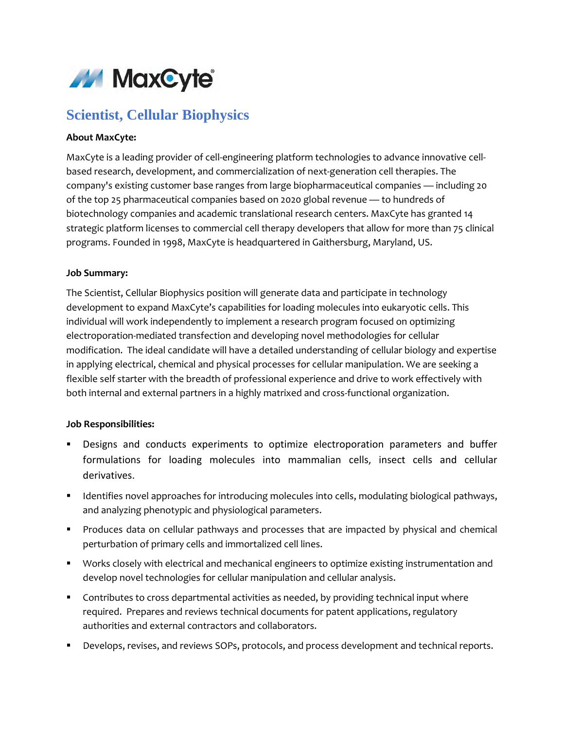

# **Scientist, Cellular Biophysics**

### **About MaxCyte:**

MaxCyte is a leading provider of cell-engineering platform technologies to advance innovative cellbased research, development, and commercialization of next-generation cell therapies. The company's existing customer base ranges from large biopharmaceutical companies — including 20 of the top 25 pharmaceutical companies based on 2020 global revenue — to hundreds of biotechnology companies and academic translational research centers. MaxCyte has granted 14 strategic platform licenses to commercial cell therapy developers that allow for more than 75 clinical programs. Founded in 1998, MaxCyte is headquartered in Gaithersburg, Maryland, US.

#### **Job Summary:**

The Scientist, Cellular Biophysics position will generate data and participate in technology development to expand MaxCyte's capabilities for loading molecules into eukaryotic cells. This individual will work independently to implement a research program focused on optimizing electroporation-mediated transfection and developing novel methodologies for cellular modification. The ideal candidate will have a detailed understanding of cellular biology and expertise in applying electrical, chemical and physical processes for cellular manipulation. We are seeking a flexible self starter with the breadth of professional experience and drive to work effectively with both internal and external partners in a highly matrixed and cross-functional organization.

#### **Job Responsibilities:**

- Designs and conducts experiments to optimize electroporation parameters and buffer formulations for loading molecules into mammalian cells, insect cells and cellular derivatives.
- **IDENTIFY 11 Interatives 10 approaches for introducing molecules into cells, modulating biological pathways,** and analyzing phenotypic and physiological parameters.
- Produces data on cellular pathways and processes that are impacted by physical and chemical perturbation of primary cells and immortalized cell lines.
- Works closely with electrical and mechanical engineers to optimize existing instrumentation and develop novel technologies for cellular manipulation and cellular analysis.
- **Contributes to cross departmental activities as needed, by providing technical input where** required. Prepares and reviews technical documents for patent applications, regulatory authorities and external contractors and collaborators.
- Develops, revises, and reviews SOPs, protocols, and process development and technical reports.